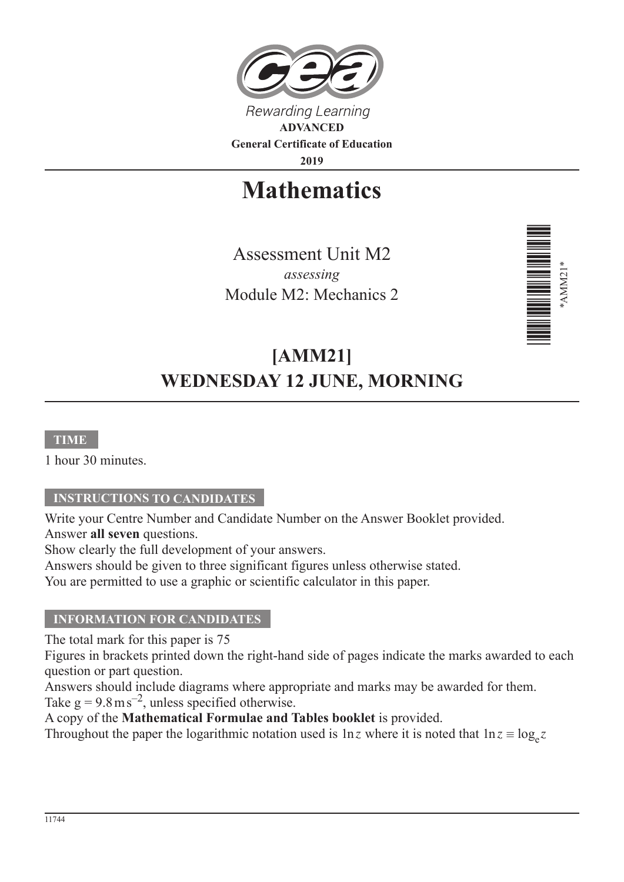

**2019**

# **Mathematics**

Assessment Unit M2 *assessing* Module M2: Mechanics 2



# **[AMM21] WEDNESDAY 12 JUNE, MORNING**

## **TIME**

1 hour 30 minutes.

## **INSTRUCTIONS TO CANDIDATES**

Write your Centre Number and Candidate Number on the Answer Booklet provided. Answer **all seven** questions.

Show clearly the full development of your answers.

Answers should be given to three significant figures unless otherwise stated.

You are permitted to use a graphic or scientific calculator in this paper.

#### **INFORMATION FOR CANDIDATES**

The total mark for this paper is 75

Figures in brackets printed down the right-hand side of pages indicate the marks awarded to each question or part question.

Answers should include diagrams where appropriate and marks may be awarded for them. Take  $g = 9.8 \text{ m s}^{-2}$ , unless specified otherwise.

A copy of the **Mathematical Formulae and Tables booklet** is provided.

Throughout the paper the logarithmic notation used is  $\ln z$  where it is noted that  $\ln z \equiv \log_e z$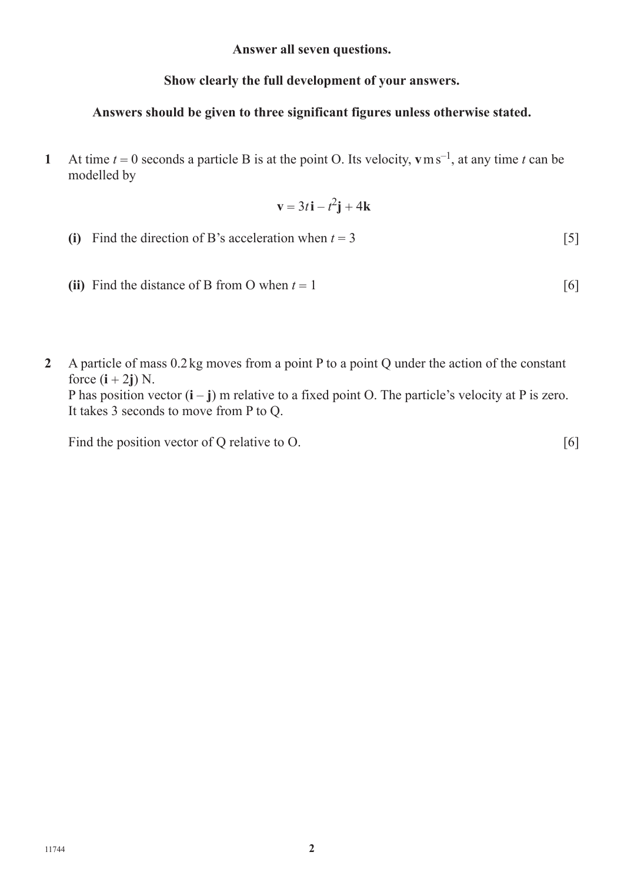**Answer all seven questions.**

## **Show clearly the full development of your answers.**

### **Answers should be given to three significant figures unless otherwise stated.**

**1** At time  $t = 0$  seconds a particle B is at the point O. Its velocity, **v**ms<sup>-1</sup>, at any time *t* can be modelled by

$$
\mathbf{v} = 3t\,\mathbf{i} - t^2\mathbf{j} + 4\mathbf{k}
$$

- (i) Find the direction of B's acceleration when  $t = 3$  [5]
- (ii) Find the distance of B from O when  $t = 1$  [6]
- **2** A particle of mass 0.2kg moves from a point P to a point Q under the action of the constant force  $(i + 2j)$  N.

P has position vector  $(i - j)$  m relative to a fixed point O. The particle's velocity at P is zero. It takes 3 seconds to move from P to Q.

Find the position vector of Q relative to O. [6]

11744 **2**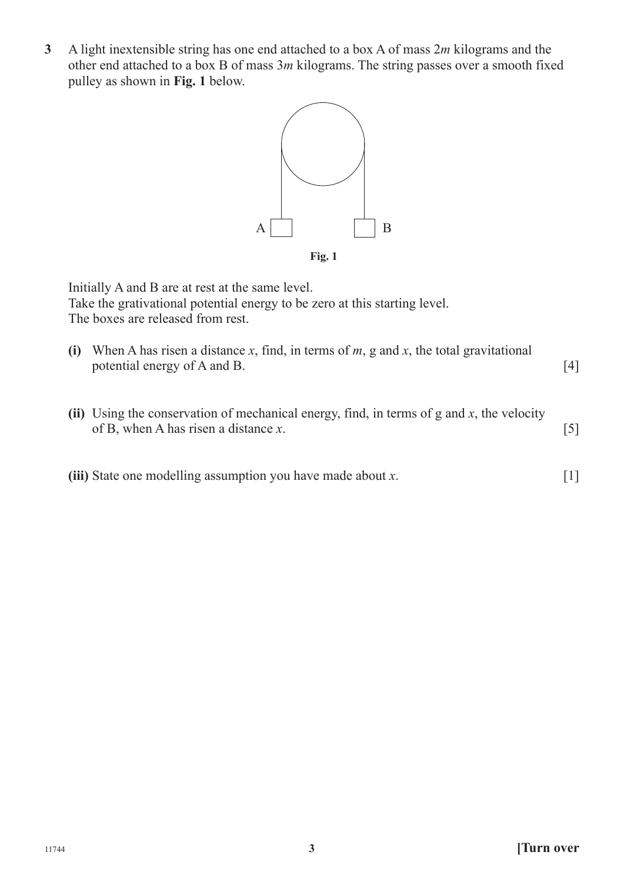**3** A light inextensible string has one end attached to a box A of mass 2*m* kilograms and the other end attached to a box B of mass 3*m* kilograms. The string passes over a smooth fixed pulley as shown in **Fig. 1** below.



Initially A and B are at rest at the same level. Take the grativational potential energy to be zero at this starting level. The boxes are released from rest.

- **(i)** When A has risen a distance *x*, find, in terms of *m*, g and *x*, the total gravitational potential energy of A and B. [4]
- **(ii)** Using the conservation of mechanical energy, find, in terms of g and *x*, the velocity of B, when A has risen a distance *x*. [5]
- **(iii)** State one modelling assumption you have made about *x*. [1]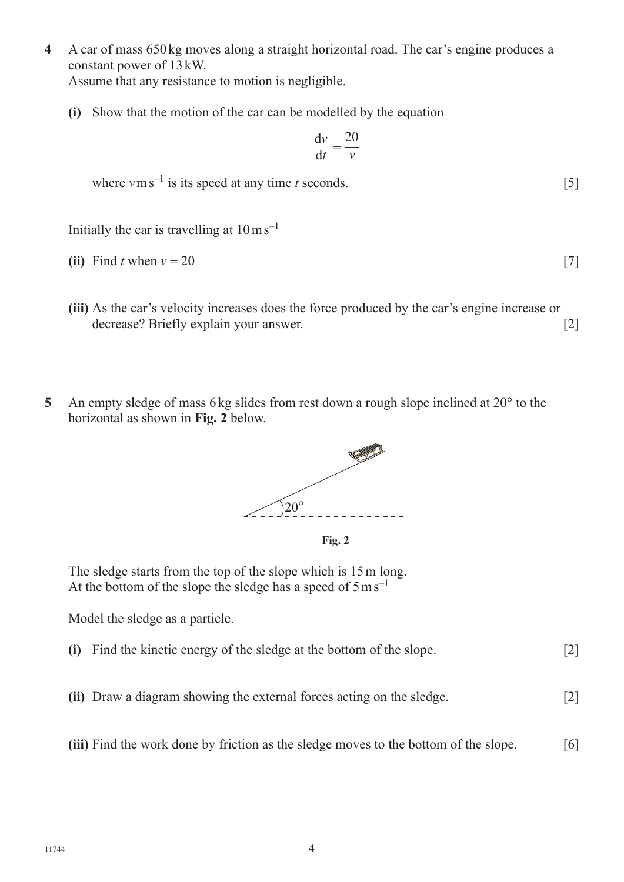**4** A car of mass 650 kg moves along a straight horizontal road. The car's engine produces a constant power of 13kW.

Assume that any resistance to motion is negligible.

**(i)** Show that the motion of the car can be modelled by the equation

$$
\frac{\mathrm{d}v}{\mathrm{d}t} = \frac{20}{v}
$$

where  $v \text{ m s}^{-1}$  is its speed at any time *t* seconds. [5]

Initially the car is travelling at  $10 \text{ m s}^{-1}$ 

**(ii)** Find *t* when  $v = 20$  [7]

- **(iii)** As the car's velocity increases does the force produced by the car's engine increase or decrease? Briefly explain your answer. [2]
- **5** An empty sledge of mass 6kg slides from rest down a rough slope inclined at 20° to the horizontal as shown in **Fig. 2** below.





The sledge starts from the top of the slope which is 15m long. At the bottom of the slope the sledge has a speed of  $5 \text{ m s}^{-1}$ 

Model the sledge as a particle.

- **(i)** Find the kinetic energy of the sledge at the bottom of the slope. [2]
- **(ii)** Draw a diagram showing the external forces acting on the sledge. [2]
- **(iii)** Find the work done by friction as the sledge moves to the bottom of the slope. [6]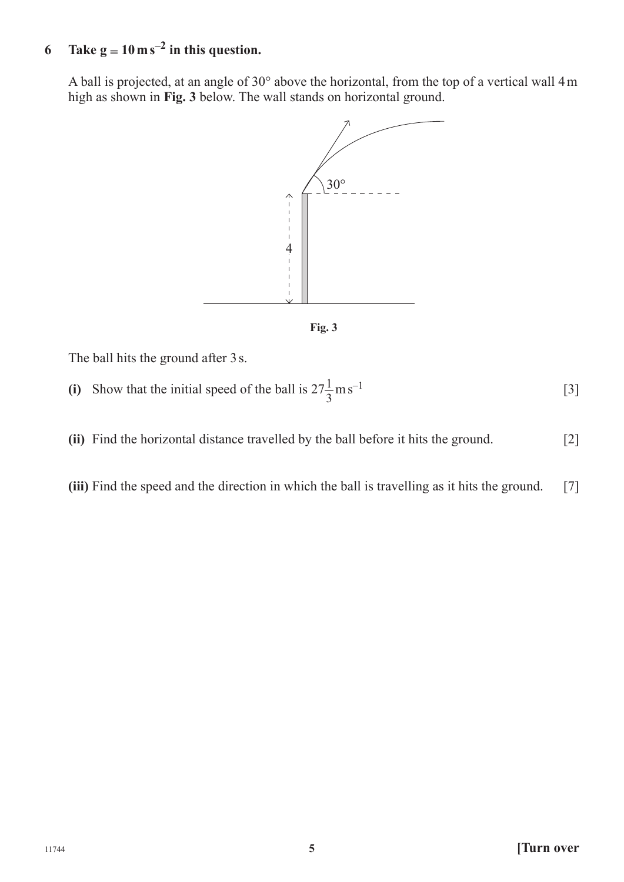# **6 Take**  $g = 10 \text{ m s}^{-2}$  **in this question.**

A ball is projected, at an angle of 30° above the horizontal, from the top of a vertical wall 4m high as shown in **Fig. 3** below. The wall stands on horizontal ground.





The ball hits the ground after 3s.

(i) Show that the initial speed of the ball is  $27\frac{1}{3} \text{m s}^{-1}$  [3]

- **(ii)** Find the horizontal distance travelled by the ball before it hits the ground. [2]
- **(iii)** Find the speed and the direction in which the ball is travelling as it hits the ground. [7]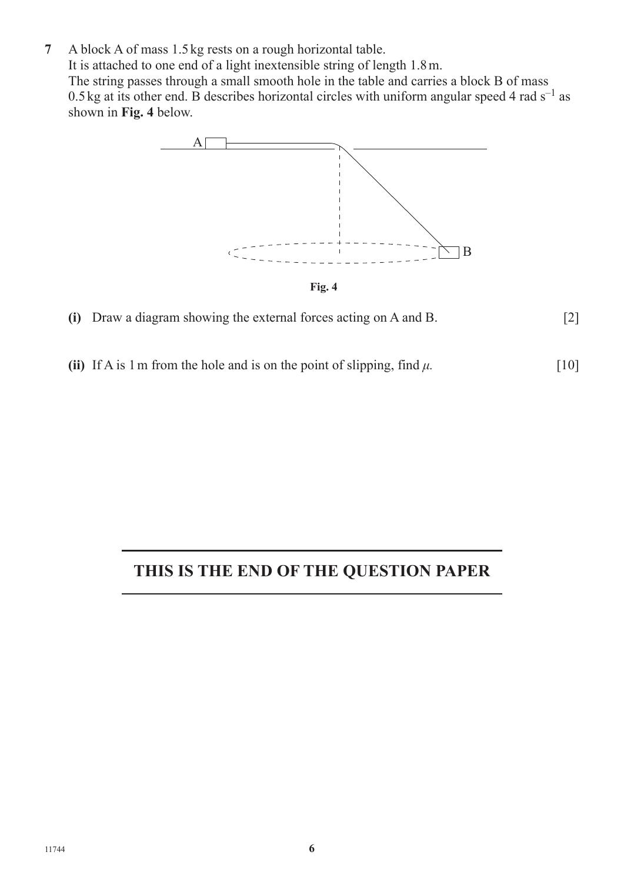**7** A block A of mass 1.5kg rests on a rough horizontal table. It is attached to one end of a light inextensible string of length 1.8m. The string passes through a small smooth hole in the table and carries a block B of mass 0.5 kg at its other end. B describes horizontal circles with uniform angular speed 4 rad  $s^{-1}$  as shown in **Fig. 4** below.



- **(i)** Draw a diagram showing the external forces acting on A and B. [2]
- **(ii)** If A is 1 m from the hole and is on the point of slipping, find  $\mu$ . [10]

# **THIS IS THE END OF THE QUESTION PAPER**